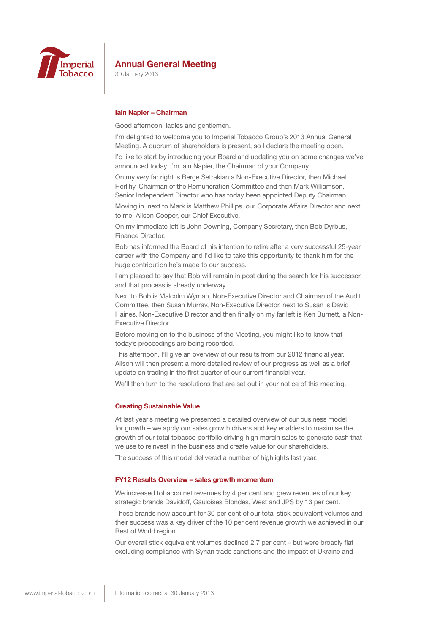

30 January 2013

## **Iain Napier – Chairman**

Good afternoon, ladies and gentlemen.

I'm delighted to welcome you to Imperial Tobacco Group's 2013 Annual General Meeting. A quorum of shareholders is present, so I declare the meeting open.

I'd like to start by introducing your Board and updating you on some changes we've announced today. I'm Iain Napier, the Chairman of your Company.

On my very far right is Berge Setrakian a Non-Executive Director, then Michael Herlihy, Chairman of the Remuneration Committee and then Mark Williamson, Senior Independent Director who has today been appointed Deputy Chairman.

Moving in, next to Mark is Matthew Phillips, our Corporate Affairs Director and next to me, Alison Cooper, our Chief Executive.

On my immediate left is John Downing, Company Secretary, then Bob Dyrbus, Finance Director.

Bob has informed the Board of his intention to retire after a very successful 25-year career with the Company and I'd like to take this opportunity to thank him for the huge contribution he's made to our success.

I am pleased to say that Bob will remain in post during the search for his successor and that process is already underway.

Next to Bob is Malcolm Wyman, Non-Executive Director and Chairman of the Audit Committee, then Susan Murray, Non-Executive Director, next to Susan is David Haines, Non-Executive Director and then finally on my far left is Ken Burnett, a Non-Executive Director.

Before moving on to the business of the Meeting, you might like to know that today's proceedings are being recorded.

This afternoon, I'll give an overview of our results from our 2012 financial year. Alison will then present a more detailed review of our progress as well as a brief update on trading in the first quarter of our current financial year.

We'll then turn to the resolutions that are set out in your notice of this meeting.

### **Creating Sustainable Value**

At last year's meeting we presented a detailed overview of our business model for growth – we apply our sales growth drivers and key enablers to maximise the growth of our total tobacco portfolio driving high margin sales to generate cash that we use to reinvest in the business and create value for our shareholders.

The success of this model delivered a number of highlights last year.

### **FY12 Results Overview – sales growth momentum**

We increased tobacco net revenues by 4 per cent and grew revenues of our key strategic brands Davidoff, Gauloises Blondes, West and JPS by 13 per cent.

These brands now account for 30 per cent of our total stick equivalent volumes and their success was a key driver of the 10 per cent revenue growth we achieved in our Rest of World region.

Our overall stick equivalent volumes declined 2.7 per cent – but were broadly flat excluding compliance with Syrian trade sanctions and the impact of Ukraine and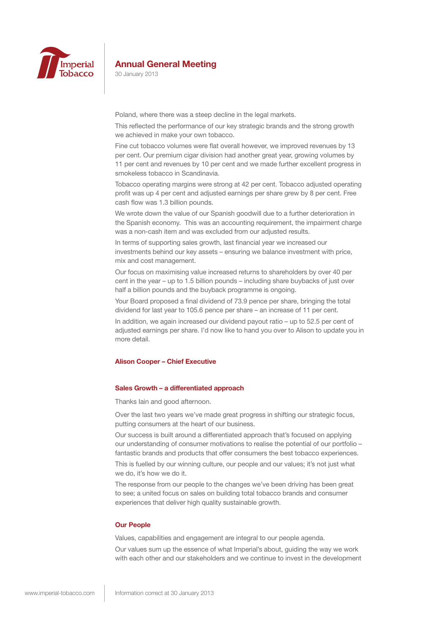

30 January 2013

Poland, where there was a steep decline in the legal markets.

This reflected the performance of our key strategic brands and the strong growth we achieved in make your own tobacco.

Fine cut tobacco volumes were flat overall however, we improved revenues by 13 per cent. Our premium cigar division had another great year, growing volumes by 11 per cent and revenues by 10 per cent and we made further excellent progress in smokeless tobacco in Scandinavia.

Tobacco operating margins were strong at 42 per cent. Tobacco adjusted operating profit was up 4 per cent and adjusted earnings per share grew by 8 per cent. Free cash flow was 1.3 billion pounds.

We wrote down the value of our Spanish goodwill due to a further deterioration in the Spanish economy. This was an accounting requirement, the impairment charge was a non-cash item and was excluded from our adjusted results.

In terms of supporting sales growth, last financial year we increased our investments behind our key assets – ensuring we balance investment with price, mix and cost management.

Our focus on maximising value increased returns to shareholders by over 40 per cent in the year – up to 1.5 billion pounds – including share buybacks of just over half a billion pounds and the buyback programme is ongoing.

Your Board proposed a final dividend of 73.9 pence per share, bringing the total dividend for last year to 105.6 pence per share – an increase of 11 per cent.

In addition, we again increased our dividend payout ratio – up to 52.5 per cent of adjusted earnings per share. I'd now like to hand you over to Alison to update you in more detail.

## **Alison Cooper – Chief Executive**

### **Sales Growth – a differentiated approach**

Thanks Iain and good afternoon.

Over the last two years we've made great progress in shifting our strategic focus, putting consumers at the heart of our business.

Our success is built around a differentiated approach that's focused on applying our understanding of consumer motivations to realise the potential of our portfolio – fantastic brands and products that offer consumers the best tobacco experiences.

This is fuelled by our winning culture, our people and our values; it's not just what we do, it's how we do it.

The response from our people to the changes we've been driving has been great to see; a united focus on sales on building total tobacco brands and consumer experiences that deliver high quality sustainable growth.

## **Our People**

Values, capabilities and engagement are integral to our people agenda.

Our values sum up the essence of what Imperial's about, guiding the way we work with each other and our stakeholders and we continue to invest in the development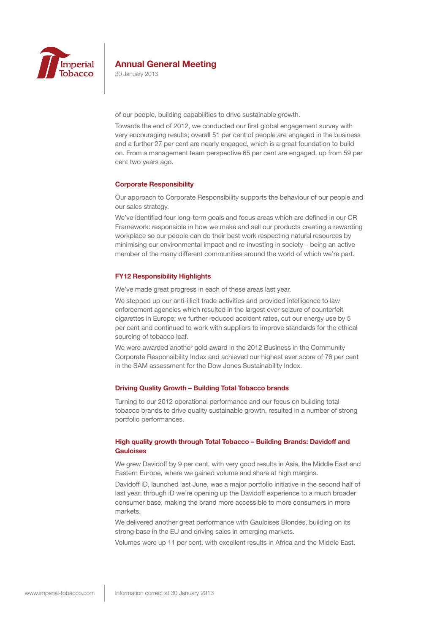

30 January 2013

of our people, building capabilities to drive sustainable growth.

Towards the end of 2012, we conducted our first global engagement survey with very encouraging results; overall 51 per cent of people are engaged in the business and a further 27 per cent are nearly engaged, which is a great foundation to build on. From a management team perspective 65 per cent are engaged, up from 59 per cent two years ago.

## **Corporate Responsibility**

Our approach to Corporate Responsibility supports the behaviour of our people and our sales strategy.

We've identified four long-term goals and focus areas which are defined in our CR Framework: responsible in how we make and sell our products creating a rewarding workplace so our people can do their best work respecting natural resources by minimising our environmental impact and re-investing in society – being an active member of the many different communities around the world of which we're part.

### **FY12 Responsibility Highlights**

We've made great progress in each of these areas last year.

We stepped up our anti-illicit trade activities and provided intelligence to law enforcement agencies which resulted in the largest ever seizure of counterfeit cigarettes in Europe; we further reduced accident rates, cut our energy use by 5 per cent and continued to work with suppliers to improve standards for the ethical sourcing of tobacco leaf.

We were awarded another gold award in the 2012 Business in the Community Corporate Responsibility Index and achieved our highest ever score of 76 per cent in the SAM assessment for the Dow Jones Sustainability Index.

### **Driving Quality Growth – Building Total Tobacco brands**

Turning to our 2012 operational performance and our focus on building total tobacco brands to drive quality sustainable growth, resulted in a number of strong portfolio performances.

## **High quality growth through Total Tobacco – Building Brands: Davidoff and Gauloises**

We grew Davidoff by 9 per cent, with very good results in Asia, the Middle East and Eastern Europe, where we gained volume and share at high margins.

Davidoff iD, launched last June, was a major portfolio initiative in the second half of last year; through iD we're opening up the Davidoff experience to a much broader consumer base, making the brand more accessible to more consumers in more markets.

We delivered another great performance with Gauloises Blondes, building on its strong base in the EU and driving sales in emerging markets.

Volumes were up 11 per cent, with excellent results in Africa and the Middle East.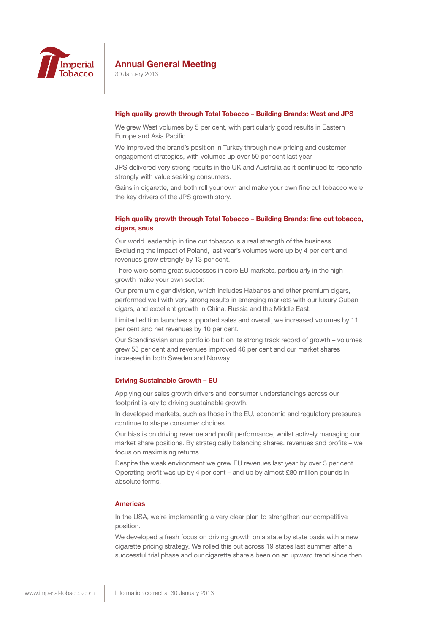

30 January 2013

### **High quality growth through Total Tobacco – Building Brands: West and JPS**

We grew West volumes by 5 per cent, with particularly good results in Eastern Europe and Asia Pacific.

We improved the brand's position in Turkey through new pricing and customer engagement strategies, with volumes up over 50 per cent last year.

JPS delivered very strong results in the UK and Australia as it continued to resonate strongly with value seeking consumers.

Gains in cigarette, and both roll your own and make your own fine cut tobacco were the key drivers of the JPS growth story.

## **High quality growth through Total Tobacco – Building Brands: fine cut tobacco, cigars, snus**

Our world leadership in fine cut tobacco is a real strength of the business. Excluding the impact of Poland, last year's volumes were up by 4 per cent and revenues grew strongly by 13 per cent.

There were some great successes in core EU markets, particularly in the high growth make your own sector.

Our premium cigar division, which includes Habanos and other premium cigars, performed well with very strong results in emerging markets with our luxury Cuban cigars, and excellent growth in China, Russia and the Middle East.

Limited edition launches supported sales and overall, we increased volumes by 11 per cent and net revenues by 10 per cent.

Our Scandinavian snus portfolio built on its strong track record of growth – volumes grew 53 per cent and revenues improved 46 per cent and our market shares increased in both Sweden and Norway.

## **Driving Sustainable Growth – EU**

Applying our sales growth drivers and consumer understandings across our footprint is key to driving sustainable growth.

In developed markets, such as those in the EU, economic and regulatory pressures continue to shape consumer choices.

Our bias is on driving revenue and profit performance, whilst actively managing our market share positions. By strategically balancing shares, revenues and profits – we focus on maximising returns.

Despite the weak environment we grew EU revenues last year by over 3 per cent. Operating profit was up by 4 per cent – and up by almost £80 million pounds in absolute terms.

#### **Americas**

In the USA, we're implementing a very clear plan to strengthen our competitive position.

We developed a fresh focus on driving growth on a state by state basis with a new cigarette pricing strategy. We rolled this out across 19 states last summer after a successful trial phase and our cigarette share's been on an upward trend since then.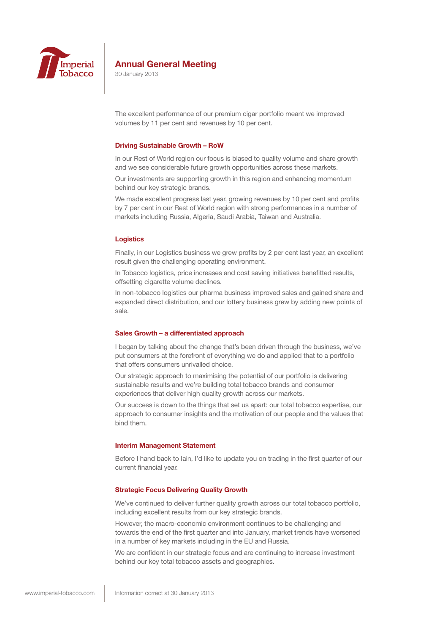

30 January 2013

The excellent performance of our premium cigar portfolio meant we improved volumes by 11 per cent and revenues by 10 per cent.

#### **Driving Sustainable Growth – RoW**

In our Rest of World region our focus is biased to quality volume and share growth and we see considerable future growth opportunities across these markets.

Our investments are supporting growth in this region and enhancing momentum behind our key strategic brands.

We made excellent progress last year, growing revenues by 10 per cent and profits by 7 per cent in our Rest of World region with strong performances in a number of markets including Russia, Algeria, Saudi Arabia, Taiwan and Australia.

### **Logistics**

Finally, in our Logistics business we grew profits by 2 per cent last year, an excellent result given the challenging operating environment.

In Tobacco logistics, price increases and cost saving initiatives benefitted results, offsetting cigarette volume declines.

In non-tobacco logistics our pharma business improved sales and gained share and expanded direct distribution, and our lottery business grew by adding new points of sale.

## **Sales Growth – a differentiated approach**

I began by talking about the change that's been driven through the business, we've put consumers at the forefront of everything we do and applied that to a portfolio that offers consumers unrivalled choice.

Our strategic approach to maximising the potential of our portfolio is delivering sustainable results and we're building total tobacco brands and consumer experiences that deliver high quality growth across our markets.

Our success is down to the things that set us apart: our total tobacco expertise, our approach to consumer insights and the motivation of our people and the values that bind them.

### **Interim Management Statement**

Before I hand back to Iain, I'd like to update you on trading in the first quarter of our current financial year.

## **Strategic Focus Delivering Quality Growth**

We've continued to deliver further quality growth across our total tobacco portfolio, including excellent results from our key strategic brands.

However, the macro-economic environment continues to be challenging and towards the end of the first quarter and into January, market trends have worsened in a number of key markets including in the EU and Russia.

We are confident in our strategic focus and are continuing to increase investment behind our key total tobacco assets and geographies.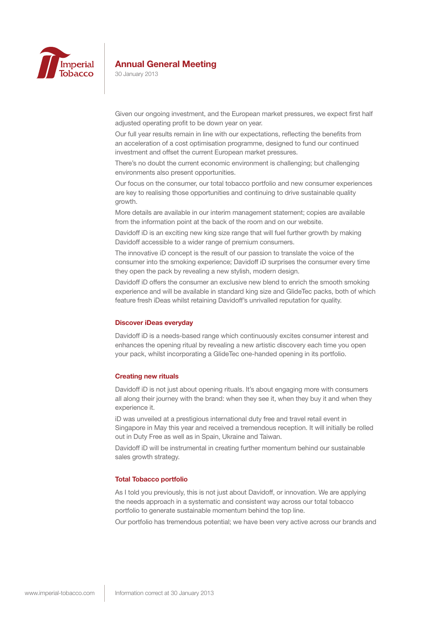

30 January 2013

Given our ongoing investment, and the European market pressures, we expect first half adjusted operating profit to be down year on year.

Our full year results remain in line with our expectations, reflecting the benefits from an acceleration of a cost optimisation programme, designed to fund our continued investment and offset the current European market pressures.

There's no doubt the current economic environment is challenging; but challenging environments also present opportunities.

Our focus on the consumer, our total tobacco portfolio and new consumer experiences are key to realising those opportunities and continuing to drive sustainable quality growth.

More details are available in our interim management statement; copies are available from the information point at the back of the room and on our website.

Davidoff iD is an exciting new king size range that will fuel further growth by making Davidoff accessible to a wider range of premium consumers.

The innovative iD concept is the result of our passion to translate the voice of the consumer into the smoking experience; Davidoff iD surprises the consumer every time they open the pack by revealing a new stylish, modern design.

Davidoff iD offers the consumer an exclusive new blend to enrich the smooth smoking experience and will be available in standard king size and GlideTec packs, both of which feature fresh iDeas whilst retaining Davidoff's unrivalled reputation for quality.

#### **Discover iDeas everyday**

Davidoff iD is a needs-based range which continuously excites consumer interest and enhances the opening ritual by revealing a new artistic discovery each time you open your pack, whilst incorporating a GlideTec one-handed opening in its portfolio.

## **Creating new rituals**

Davidoff iD is not just about opening rituals. It's about engaging more with consumers all along their journey with the brand: when they see it, when they buy it and when they experience it.

iD was unveiled at a prestigious international duty free and travel retail event in Singapore in May this year and received a tremendous reception. It will initially be rolled out in Duty Free as well as in Spain, Ukraine and Taiwan.

Davidoff iD will be instrumental in creating further momentum behind our sustainable sales growth strategy.

## **Total Tobacco portfolio**

As I told you previously, this is not just about Davidoff, or innovation. We are applying the needs approach in a systematic and consistent way across our total tobacco portfolio to generate sustainable momentum behind the top line.

Our portfolio has tremendous potential; we have been very active across our brands and